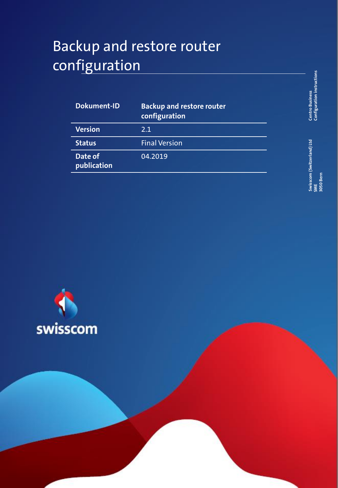# Backup and restore router configuration

| <b>Dokument-ID</b>     | <b>Backup and restore router</b><br>configuration |
|------------------------|---------------------------------------------------|
| <b>Version</b>         | 2.1                                               |
| <b>Status</b>          | <b>Final Version</b>                              |
| Date of<br>publication | 04.2019                                           |

**Centro Business**<br>Configuration instructions **Configuration instructions Centro Business** 

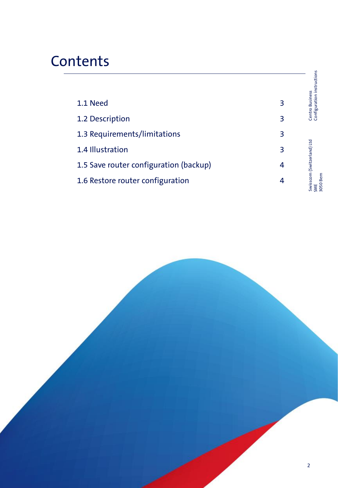# **Contents**

|                                        |   | Configuration instructions                            |
|----------------------------------------|---|-------------------------------------------------------|
| 1.1 Need                               | 3 | <b>Centro Business</b>                                |
| 1.2 Description                        | 3 |                                                       |
| 1.3 Requirements/limitations           | 3 |                                                       |
| 1.4 Illustration                       | 3 |                                                       |
| 1.5 Save router configuration (backup) | 4 |                                                       |
| 1.6 Restore router configuration       | 4 | swisscom (Switzerland) Ltd<br>3050 Bern<br><b>SME</b> |

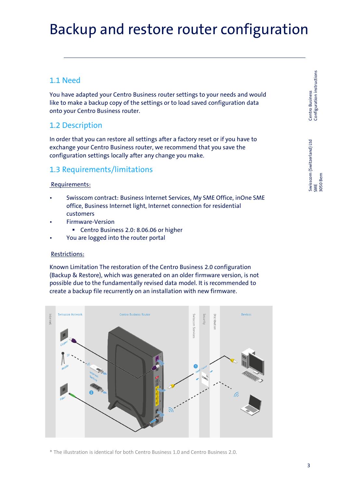## Backup and restore router configuration

## 1.1 Need

You have adapted your Centro Business router settings to your needs and would like to make a backup copy of the settings or to load saved configuration data onto your Centro Business router.

## 1.2 Description

In order that you can restore all settings after a factory reset or if you have to exchange your Centro Business router, we recommend that you save the configuration settings locally after any change you make.

### 1.3 Requirements/limitations

#### Requirements:

- Swisscom contract: Business Internet Services, My SME Office, inOne SME office, Business Internet light, Internet connection for residential customers
	- Firmware-Version
		- Centro Business 2.0: 8.06.06 or higher
- You are logged into the router portal

#### Restrictions:

Known Limitation The restoration of the Centro Business 2.0 configuration (Backup & Restore), which was generated on an older firmware version, is not possible due to the fundamentally revised data model. It is recommended to create a backup file recurrently on an installation with new firmware.



\* The illustration is identical for both Centro Business 1.0 and Centro Business 2.0.